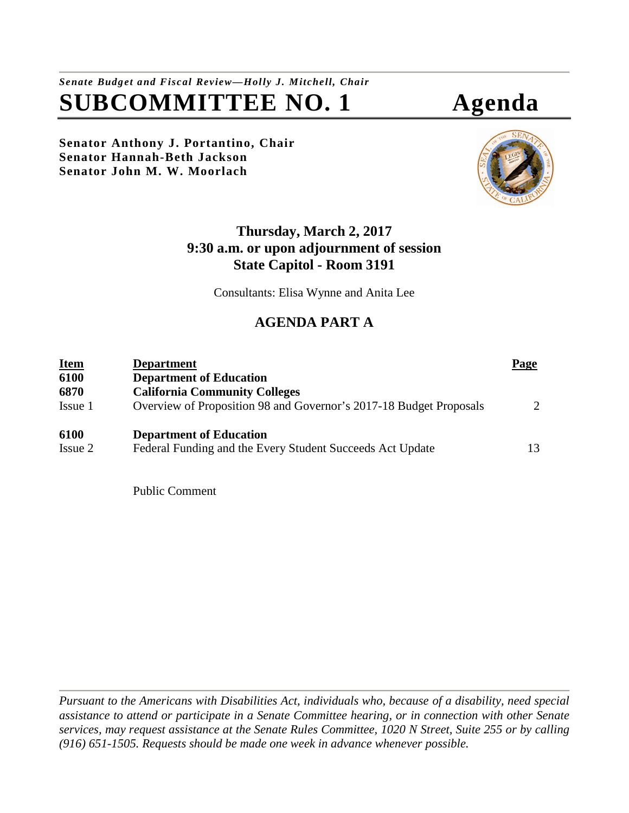*Senate Budget and Fiscal Review—Holly J. Mitchell, Chair* **SUBCOMMITTEE NO. 1 Agenda** 

**Senator Anthony J. Portantino, Chair Senator Hannah-Beth Jackson Senator John M. W. Moorlach** 





# **Thursday, March 2, 2017 9:30 a.m. or upon adjournment of session State Capitol - Room 3191**

Consultants: Elisa Wynne and Anita Lee

# **AGENDA PART A**

| <b>Item</b><br>6100 | <b>Department</b><br><b>Department of Education</b>                | Page                        |
|---------------------|--------------------------------------------------------------------|-----------------------------|
| 6870                | <b>California Community Colleges</b>                               |                             |
| Issue 1             | Overview of Proposition 98 and Governor's 2017-18 Budget Proposals | $\mathcal{D}_{\mathcal{L}}$ |
| 6100                | <b>Department of Education</b>                                     |                             |
| Issue 2             | Federal Funding and the Every Student Succeeds Act Update          | 13                          |

Public Comment

*Pursuant to the Americans with Disabilities Act, individuals who, because of a disability, need special assistance to attend or participate in a Senate Committee hearing, or in connection with other Senate services, may request assistance at the Senate Rules Committee, 1020 N Street, Suite 255 or by calling (916) 651-1505. Requests should be made one week in advance whenever possible.*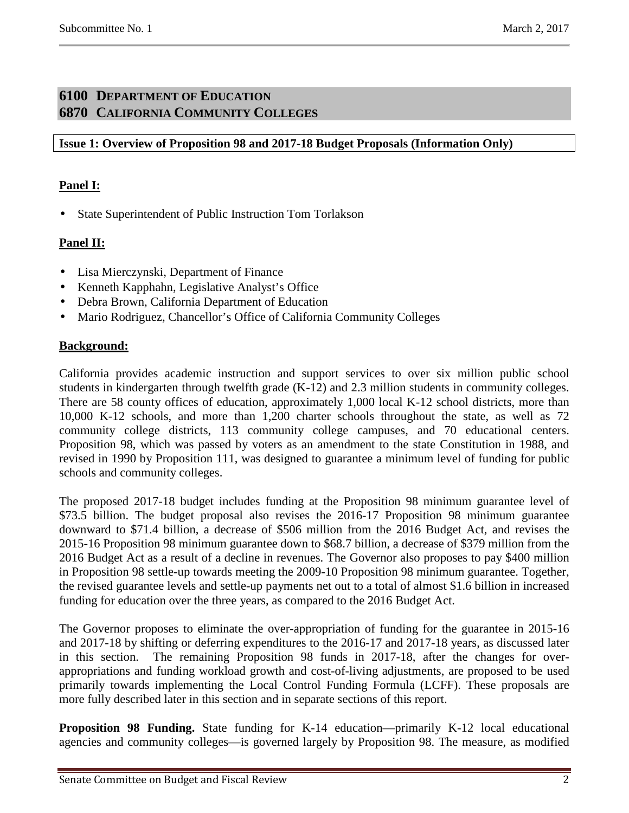# **6100 DEPARTMENT OF EDUCATION 6870 CALIFORNIA COMMUNITY COLLEGES**

## **Issue 1: Overview of Proposition 98 and 2017-18 Budget Proposals (Information Only)**

# **Panel I:**

• State Superintendent of Public Instruction Tom Torlakson

## **Panel II:**

- Lisa Mierczynski, Department of Finance
- Kenneth Kapphahn, Legislative Analyst's Office
- Debra Brown, California Department of Education
- Mario Rodriguez, Chancellor's Office of California Community Colleges

#### **Background:**

California provides academic instruction and support services to over six million public school students in kindergarten through twelfth grade (K-12) and 2.3 million students in community colleges. There are 58 county offices of education, approximately 1,000 local K-12 school districts, more than 10,000 K-12 schools, and more than 1,200 charter schools throughout the state, as well as 72 community college districts, 113 community college campuses, and 70 educational centers. Proposition 98, which was passed by voters as an amendment to the state Constitution in 1988, and revised in 1990 by Proposition 111, was designed to guarantee a minimum level of funding for public schools and community colleges.

The proposed 2017-18 budget includes funding at the Proposition 98 minimum guarantee level of \$73.5 billion. The budget proposal also revises the 2016-17 Proposition 98 minimum guarantee downward to \$71.4 billion, a decrease of \$506 million from the 2016 Budget Act, and revises the 2015-16 Proposition 98 minimum guarantee down to \$68.7 billion, a decrease of \$379 million from the 2016 Budget Act as a result of a decline in revenues. The Governor also proposes to pay \$400 million in Proposition 98 settle-up towards meeting the 2009-10 Proposition 98 minimum guarantee. Together, the revised guarantee levels and settle-up payments net out to a total of almost \$1.6 billion in increased funding for education over the three years, as compared to the 2016 Budget Act.

The Governor proposes to eliminate the over-appropriation of funding for the guarantee in 2015-16 and 2017-18 by shifting or deferring expenditures to the 2016-17 and 2017-18 years, as discussed later in this section. The remaining Proposition 98 funds in 2017-18, after the changes for overappropriations and funding workload growth and cost-of-living adjustments, are proposed to be used primarily towards implementing the Local Control Funding Formula (LCFF). These proposals are more fully described later in this section and in separate sections of this report.

**Proposition 98 Funding.** State funding for K-14 education—primarily K-12 local educational agencies and community colleges—is governed largely by Proposition 98. The measure, as modified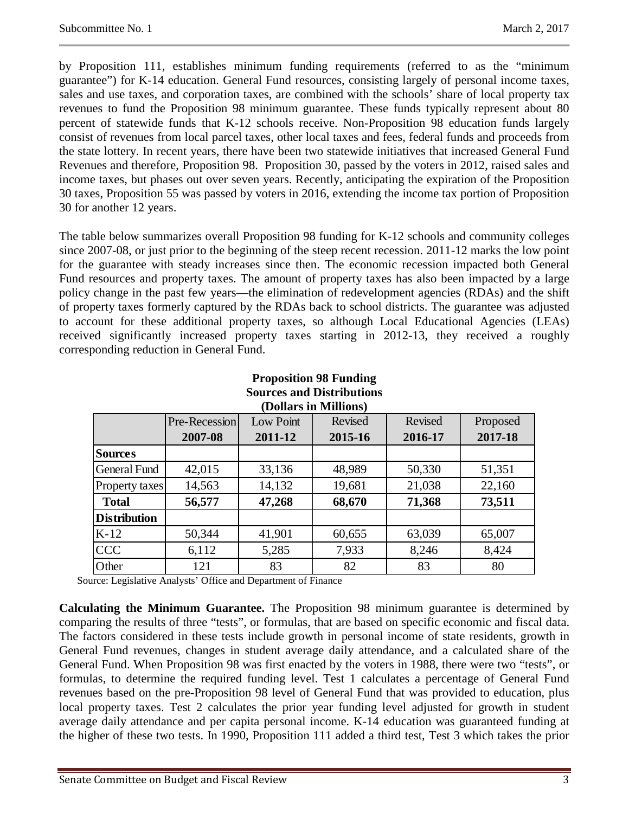by Proposition 111, establishes minimum funding requirements (referred to as the "minimum guarantee") for K-14 education. General Fund resources, consisting largely of personal income taxes, sales and use taxes, and corporation taxes, are combined with the schools' share of local property tax revenues to fund the Proposition 98 minimum guarantee. These funds typically represent about 80 percent of statewide funds that K-12 schools receive. Non-Proposition 98 education funds largely consist of revenues from local parcel taxes, other local taxes and fees, federal funds and proceeds from the state lottery. In recent years, there have been two statewide initiatives that increased General Fund Revenues and therefore, Proposition 98. Proposition 30, passed by the voters in 2012, raised sales and income taxes, but phases out over seven years. Recently, anticipating the expiration of the Proposition 30 taxes, Proposition 55 was passed by voters in 2016, extending the income tax portion of Proposition 30 for another 12 years.

The table below summarizes overall Proposition 98 funding for K-12 schools and community colleges since 2007-08, or just prior to the beginning of the steep recent recession. 2011-12 marks the low point for the guarantee with steady increases since then. The economic recession impacted both General Fund resources and property taxes. The amount of property taxes has also been impacted by a large policy change in the past few years—the elimination of redevelopment agencies (RDAs) and the shift of property taxes formerly captured by the RDAs back to school districts. The guarantee was adjusted to account for these additional property taxes, so although Local Educational Agencies (LEAs) received significantly increased property taxes starting in 2012-13, they received a roughly corresponding reduction in General Fund.

| Sources and Distributions<br>(Dollars in Millions) |               |           |         |         |          |  |  |  |
|----------------------------------------------------|---------------|-----------|---------|---------|----------|--|--|--|
|                                                    | Pre-Recession | Low Point | Revised | Revised | Proposed |  |  |  |
|                                                    | 2007-08       | 2011-12   | 2015-16 | 2016-17 | 2017-18  |  |  |  |
| <b>Sources</b>                                     |               |           |         |         |          |  |  |  |
| <b>General Fund</b>                                | 42,015        | 33,136    | 48,989  | 50,330  | 51,351   |  |  |  |
| Property taxes                                     | 14,563        | 14,132    | 19,681  | 21,038  | 22,160   |  |  |  |
| <b>Total</b>                                       | 56,577        | 47,268    | 68,670  | 71,368  | 73,511   |  |  |  |
| <b>Distribution</b>                                |               |           |         |         |          |  |  |  |
| $K-12$                                             | 50,344        | 41,901    | 60,655  | 63,039  | 65,007   |  |  |  |
| <b>CCC</b>                                         | 6,112         | 5,285     | 7,933   | 8,246   | 8,424    |  |  |  |
| Other                                              | 121           | 83        | 82      | 83      | 80       |  |  |  |

**Proposition 98 Funding**   $3.51 \times 10^{-4}$ 

Source: Legislative Analysts' Office and Department of Finance

**Calculating the Minimum Guarantee.** The Proposition 98 minimum guarantee is determined by comparing the results of three "tests", or formulas, that are based on specific economic and fiscal data. The factors considered in these tests include growth in personal income of state residents, growth in General Fund revenues, changes in student average daily attendance, and a calculated share of the General Fund. When Proposition 98 was first enacted by the voters in 1988, there were two "tests", or formulas, to determine the required funding level. Test 1 calculates a percentage of General Fund revenues based on the pre-Proposition 98 level of General Fund that was provided to education, plus local property taxes. Test 2 calculates the prior year funding level adjusted for growth in student average daily attendance and per capita personal income. K-14 education was guaranteed funding at the higher of these two tests. In 1990, Proposition 111 added a third test, Test 3 which takes the prior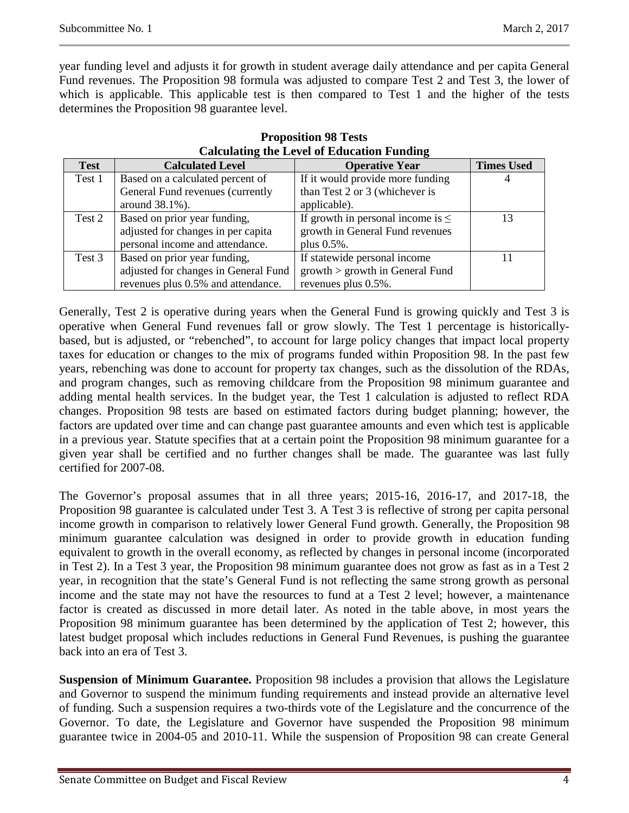year funding level and adjusts it for growth in student average daily attendance and per capita General Fund revenues. The Proposition 98 formula was adjusted to compare Test 2 and Test 3, the lower of which is applicable. This applicable test is then compared to Test 1 and the higher of the tests determines the Proposition 98 guarantee level.

| <b>Test</b> | <b>Calculated Level</b>              | <b>Operative Year</b>                  | <b>Times Used</b> |
|-------------|--------------------------------------|----------------------------------------|-------------------|
| Test 1      | Based on a calculated percent of     | If it would provide more funding       |                   |
|             | General Fund revenues (currently     | than Test 2 or 3 (whichever is         |                   |
|             | around $38.1\%$ ).                   | applicable).                           |                   |
| Test 2      | Based on prior year funding,         | If growth in personal income is $\leq$ | 13                |
|             | adjusted for changes in per capita   | growth in General Fund revenues        |                   |
|             | personal income and attendance.      | plus 0.5%.                             |                   |
| Test 3      | Based on prior year funding,         | If statewide personal income           |                   |
|             | adjusted for changes in General Fund | $growth$ > growth in General Fund      |                   |
|             | revenues plus 0.5% and attendance.   | revenues plus 0.5%.                    |                   |

#### **Proposition 98 Tests Calculating the Level of Education Funding**

Generally, Test 2 is operative during years when the General Fund is growing quickly and Test 3 is operative when General Fund revenues fall or grow slowly. The Test 1 percentage is historicallybased, but is adjusted, or "rebenched", to account for large policy changes that impact local property taxes for education or changes to the mix of programs funded within Proposition 98. In the past few years, rebenching was done to account for property tax changes, such as the dissolution of the RDAs, and program changes, such as removing childcare from the Proposition 98 minimum guarantee and adding mental health services. In the budget year, the Test 1 calculation is adjusted to reflect RDA changes. Proposition 98 tests are based on estimated factors during budget planning; however, the factors are updated over time and can change past guarantee amounts and even which test is applicable in a previous year. Statute specifies that at a certain point the Proposition 98 minimum guarantee for a given year shall be certified and no further changes shall be made. The guarantee was last fully certified for 2007-08.

The Governor's proposal assumes that in all three years; 2015-16, 2016-17, and 2017-18, the Proposition 98 guarantee is calculated under Test 3. A Test 3 is reflective of strong per capita personal income growth in comparison to relatively lower General Fund growth. Generally, the Proposition 98 minimum guarantee calculation was designed in order to provide growth in education funding equivalent to growth in the overall economy, as reflected by changes in personal income (incorporated in Test 2). In a Test 3 year, the Proposition 98 minimum guarantee does not grow as fast as in a Test 2 year, in recognition that the state's General Fund is not reflecting the same strong growth as personal income and the state may not have the resources to fund at a Test 2 level; however, a maintenance factor is created as discussed in more detail later. As noted in the table above, in most years the Proposition 98 minimum guarantee has been determined by the application of Test 2; however, this latest budget proposal which includes reductions in General Fund Revenues, is pushing the guarantee back into an era of Test 3.

**Suspension of Minimum Guarantee.** Proposition 98 includes a provision that allows the Legislature and Governor to suspend the minimum funding requirements and instead provide an alternative level of funding. Such a suspension requires a two-thirds vote of the Legislature and the concurrence of the Governor. To date, the Legislature and Governor have suspended the Proposition 98 minimum guarantee twice in 2004-05 and 2010-11. While the suspension of Proposition 98 can create General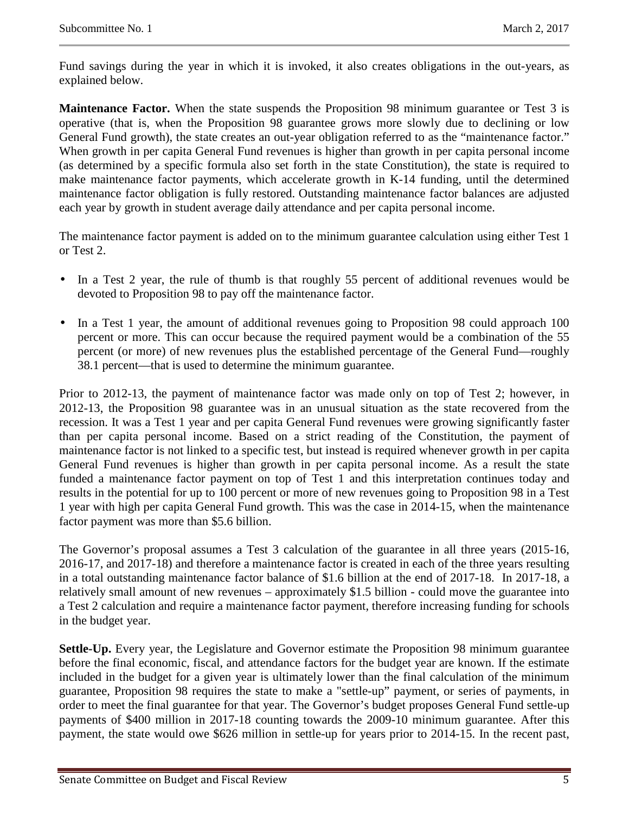Fund savings during the year in which it is invoked, it also creates obligations in the out-years, as explained below.

**Maintenance Factor.** When the state suspends the Proposition 98 minimum guarantee or Test 3 is operative (that is, when the Proposition 98 guarantee grows more slowly due to declining or low General Fund growth), the state creates an out-year obligation referred to as the "maintenance factor." When growth in per capita General Fund revenues is higher than growth in per capita personal income (as determined by a specific formula also set forth in the state Constitution), the state is required to make maintenance factor payments, which accelerate growth in K-14 funding, until the determined maintenance factor obligation is fully restored. Outstanding maintenance factor balances are adjusted each year by growth in student average daily attendance and per capita personal income.

The maintenance factor payment is added on to the minimum guarantee calculation using either Test 1 or Test 2.

- In a Test 2 year, the rule of thumb is that roughly 55 percent of additional revenues would be devoted to Proposition 98 to pay off the maintenance factor.
- In a Test 1 year, the amount of additional revenues going to Proposition 98 could approach 100 percent or more. This can occur because the required payment would be a combination of the 55 percent (or more) of new revenues plus the established percentage of the General Fund—roughly 38.1 percent—that is used to determine the minimum guarantee.

Prior to 2012-13, the payment of maintenance factor was made only on top of Test 2; however, in 2012-13, the Proposition 98 guarantee was in an unusual situation as the state recovered from the recession. It was a Test 1 year and per capita General Fund revenues were growing significantly faster than per capita personal income. Based on a strict reading of the Constitution, the payment of maintenance factor is not linked to a specific test, but instead is required whenever growth in per capita General Fund revenues is higher than growth in per capita personal income. As a result the state funded a maintenance factor payment on top of Test 1 and this interpretation continues today and results in the potential for up to 100 percent or more of new revenues going to Proposition 98 in a Test 1 year with high per capita General Fund growth. This was the case in 2014-15, when the maintenance factor payment was more than \$5.6 billion.

The Governor's proposal assumes a Test 3 calculation of the guarantee in all three years (2015-16, 2016-17, and 2017-18) and therefore a maintenance factor is created in each of the three years resulting in a total outstanding maintenance factor balance of \$1.6 billion at the end of 2017-18. In 2017-18, a relatively small amount of new revenues – approximately \$1.5 billion - could move the guarantee into a Test 2 calculation and require a maintenance factor payment, therefore increasing funding for schools in the budget year.

**Settle-Up.** Every year, the Legislature and Governor estimate the Proposition 98 minimum guarantee before the final economic, fiscal, and attendance factors for the budget year are known. If the estimate included in the budget for a given year is ultimately lower than the final calculation of the minimum guarantee, Proposition 98 requires the state to make a "settle-up" payment, or series of payments, in order to meet the final guarantee for that year. The Governor's budget proposes General Fund settle-up payments of \$400 million in 2017-18 counting towards the 2009-10 minimum guarantee. After this payment, the state would owe \$626 million in settle-up for years prior to 2014-15. In the recent past,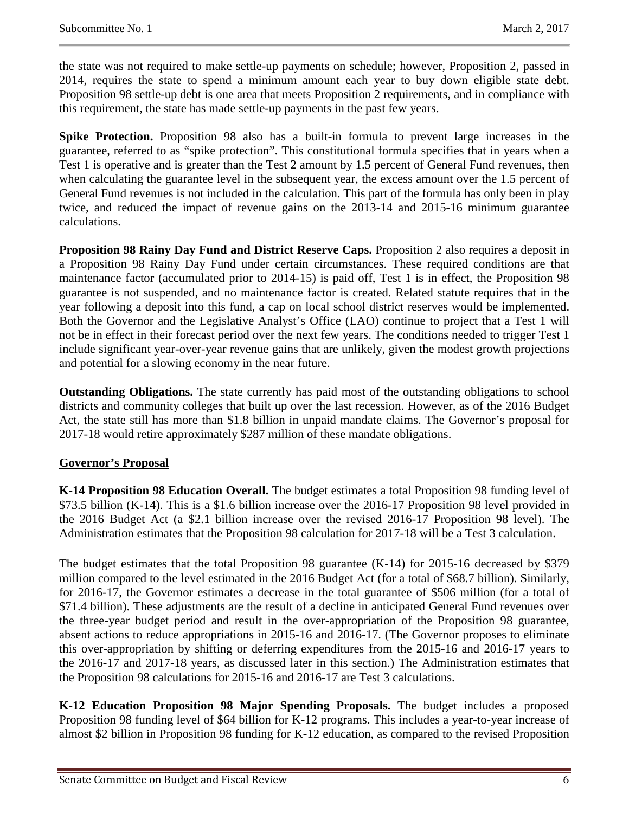the state was not required to make settle-up payments on schedule; however, Proposition 2, passed in 2014, requires the state to spend a minimum amount each year to buy down eligible state debt. Proposition 98 settle-up debt is one area that meets Proposition 2 requirements, and in compliance with this requirement, the state has made settle-up payments in the past few years.

**Spike Protection.** Proposition 98 also has a built-in formula to prevent large increases in the guarantee, referred to as "spike protection". This constitutional formula specifies that in years when a Test 1 is operative and is greater than the Test 2 amount by 1.5 percent of General Fund revenues, then when calculating the guarantee level in the subsequent year, the excess amount over the 1.5 percent of General Fund revenues is not included in the calculation. This part of the formula has only been in play twice, and reduced the impact of revenue gains on the 2013-14 and 2015-16 minimum guarantee calculations.

**Proposition 98 Rainy Day Fund and District Reserve Caps.** Proposition 2 also requires a deposit in a Proposition 98 Rainy Day Fund under certain circumstances. These required conditions are that maintenance factor (accumulated prior to 2014-15) is paid off, Test 1 is in effect, the Proposition 98 guarantee is not suspended, and no maintenance factor is created. Related statute requires that in the year following a deposit into this fund, a cap on local school district reserves would be implemented. Both the Governor and the Legislative Analyst's Office (LAO) continue to project that a Test 1 will not be in effect in their forecast period over the next few years. The conditions needed to trigger Test 1 include significant year-over-year revenue gains that are unlikely, given the modest growth projections and potential for a slowing economy in the near future.

**Outstanding Obligations.** The state currently has paid most of the outstanding obligations to school districts and community colleges that built up over the last recession. However, as of the 2016 Budget Act, the state still has more than \$1.8 billion in unpaid mandate claims. The Governor's proposal for 2017-18 would retire approximately \$287 million of these mandate obligations.

#### **Governor's Proposal**

**K-14 Proposition 98 Education Overall.** The budget estimates a total Proposition 98 funding level of \$73.5 billion (K-14). This is a \$1.6 billion increase over the 2016-17 Proposition 98 level provided in the 2016 Budget Act (a \$2.1 billion increase over the revised 2016-17 Proposition 98 level). The Administration estimates that the Proposition 98 calculation for 2017-18 will be a Test 3 calculation.

The budget estimates that the total Proposition 98 guarantee (K-14) for 2015-16 decreased by \$379 million compared to the level estimated in the 2016 Budget Act (for a total of \$68.7 billion). Similarly, for 2016-17, the Governor estimates a decrease in the total guarantee of \$506 million (for a total of \$71.4 billion). These adjustments are the result of a decline in anticipated General Fund revenues over the three-year budget period and result in the over-appropriation of the Proposition 98 guarantee, absent actions to reduce appropriations in 2015-16 and 2016-17. (The Governor proposes to eliminate this over-appropriation by shifting or deferring expenditures from the 2015-16 and 2016-17 years to the 2016-17 and 2017-18 years, as discussed later in this section.) The Administration estimates that the Proposition 98 calculations for 2015-16 and 2016-17 are Test 3 calculations.

**K-12 Education Proposition 98 Major Spending Proposals.** The budget includes a proposed Proposition 98 funding level of \$64 billion for K-12 programs. This includes a year-to-year increase of almost \$2 billion in Proposition 98 funding for K-12 education, as compared to the revised Proposition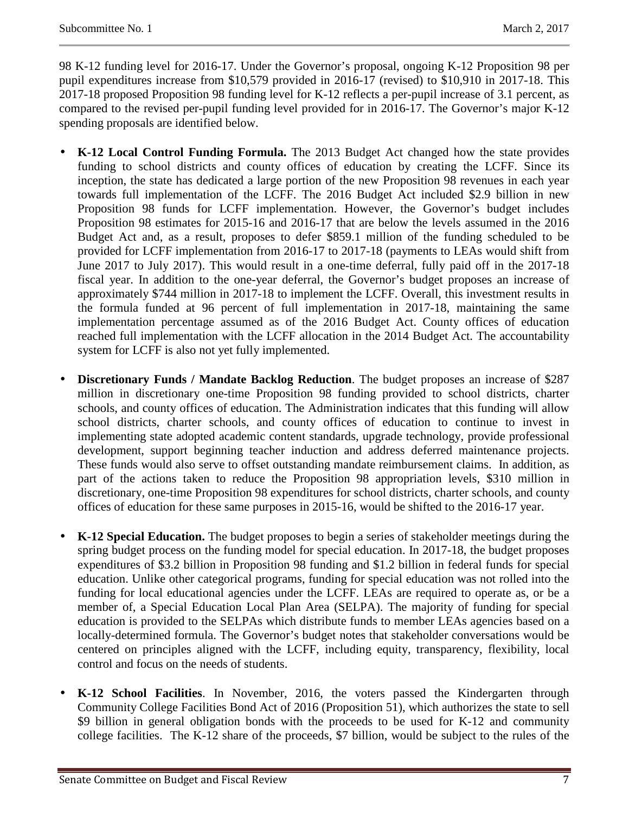98 K-12 funding level for 2016-17. Under the Governor's proposal, ongoing K-12 Proposition 98 per pupil expenditures increase from \$10,579 provided in 2016-17 (revised) to \$10,910 in 2017-18. This 2017-18 proposed Proposition 98 funding level for K-12 reflects a per-pupil increase of 3.1 percent, as compared to the revised per-pupil funding level provided for in 2016-17. The Governor's major K-12 spending proposals are identified below.

- **K-12 Local Control Funding Formula.** The 2013 Budget Act changed how the state provides funding to school districts and county offices of education by creating the LCFF. Since its inception, the state has dedicated a large portion of the new Proposition 98 revenues in each year towards full implementation of the LCFF. The 2016 Budget Act included \$2.9 billion in new Proposition 98 funds for LCFF implementation. However, the Governor's budget includes Proposition 98 estimates for 2015-16 and 2016-17 that are below the levels assumed in the 2016 Budget Act and, as a result, proposes to defer \$859.1 million of the funding scheduled to be provided for LCFF implementation from 2016-17 to 2017-18 (payments to LEAs would shift from June 2017 to July 2017). This would result in a one-time deferral, fully paid off in the 2017-18 fiscal year. In addition to the one-year deferral, the Governor's budget proposes an increase of approximately \$744 million in 2017-18 to implement the LCFF. Overall, this investment results in the formula funded at 96 percent of full implementation in 2017-18, maintaining the same implementation percentage assumed as of the 2016 Budget Act. County offices of education reached full implementation with the LCFF allocation in the 2014 Budget Act. The accountability system for LCFF is also not yet fully implemented.
- **Discretionary Funds / Mandate Backlog Reduction**. The budget proposes an increase of \$287 million in discretionary one-time Proposition 98 funding provided to school districts, charter schools, and county offices of education. The Administration indicates that this funding will allow school districts, charter schools, and county offices of education to continue to invest in implementing state adopted academic content standards, upgrade technology, provide professional development, support beginning teacher induction and address deferred maintenance projects. These funds would also serve to offset outstanding mandate reimbursement claims. In addition, as part of the actions taken to reduce the Proposition 98 appropriation levels, \$310 million in discretionary, one-time Proposition 98 expenditures for school districts, charter schools, and county offices of education for these same purposes in 2015-16, would be shifted to the 2016-17 year.
- **K-12 Special Education.** The budget proposes to begin a series of stakeholder meetings during the spring budget process on the funding model for special education. In 2017-18, the budget proposes expenditures of \$3.2 billion in Proposition 98 funding and \$1.2 billion in federal funds for special education. Unlike other categorical programs, funding for special education was not rolled into the funding for local educational agencies under the LCFF. LEAs are required to operate as, or be a member of, a Special Education Local Plan Area (SELPA). The majority of funding for special education is provided to the SELPAs which distribute funds to member LEAs agencies based on a locally-determined formula. The Governor's budget notes that stakeholder conversations would be centered on principles aligned with the LCFF, including equity, transparency, flexibility, local control and focus on the needs of students.
- **K-12 School Facilities**. In November, 2016, the voters passed the Kindergarten through Community College Facilities Bond Act of 2016 (Proposition 51), which authorizes the state to sell \$9 billion in general obligation bonds with the proceeds to be used for K-12 and community college facilities. The K-12 share of the proceeds, \$7 billion, would be subject to the rules of the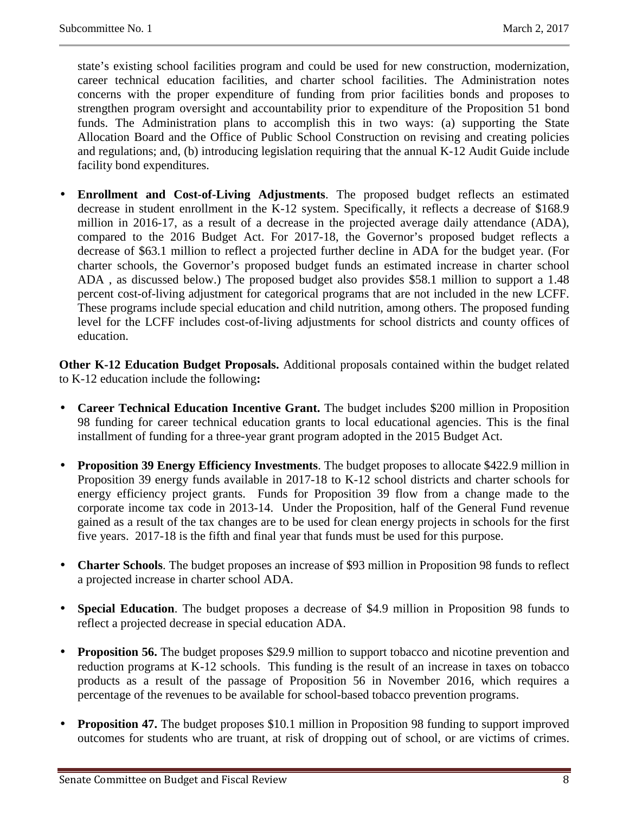state's existing school facilities program and could be used for new construction, modernization, career technical education facilities, and charter school facilities. The Administration notes concerns with the proper expenditure of funding from prior facilities bonds and proposes to strengthen program oversight and accountability prior to expenditure of the Proposition 51 bond funds. The Administration plans to accomplish this in two ways: (a) supporting the State Allocation Board and the Office of Public School Construction on revising and creating policies and regulations; and, (b) introducing legislation requiring that the annual K-12 Audit Guide include facility bond expenditures.

• **Enrollment and Cost-of-Living Adjustments**. The proposed budget reflects an estimated decrease in student enrollment in the K-12 system. Specifically, it reflects a decrease of \$168.9 million in 2016-17, as a result of a decrease in the projected average daily attendance (ADA), compared to the 2016 Budget Act. For 2017-18, the Governor's proposed budget reflects a decrease of \$63.1 million to reflect a projected further decline in ADA for the budget year. (For charter schools, the Governor's proposed budget funds an estimated increase in charter school ADA , as discussed below.) The proposed budget also provides \$58.1 million to support a 1.48 percent cost-of-living adjustment for categorical programs that are not included in the new LCFF. These programs include special education and child nutrition, among others. The proposed funding level for the LCFF includes cost-of-living adjustments for school districts and county offices of education.

**Other K-12 Education Budget Proposals.** Additional proposals contained within the budget related to K-12 education include the following**:** 

- **Career Technical Education Incentive Grant.** The budget includes \$200 million in Proposition 98 funding for career technical education grants to local educational agencies. This is the final installment of funding for a three-year grant program adopted in the 2015 Budget Act.
- **Proposition 39 Energy Efficiency Investments**. The budget proposes to allocate \$422.9 million in Proposition 39 energy funds available in 2017-18 to K-12 school districts and charter schools for energy efficiency project grants. Funds for Proposition 39 flow from a change made to the corporate income tax code in 2013-14. Under the Proposition, half of the General Fund revenue gained as a result of the tax changes are to be used for clean energy projects in schools for the first five years. 2017-18 is the fifth and final year that funds must be used for this purpose.
- **Charter Schools**. The budget proposes an increase of \$93 million in Proposition 98 funds to reflect a projected increase in charter school ADA.
- **Special Education**. The budget proposes a decrease of \$4.9 million in Proposition 98 funds to reflect a projected decrease in special education ADA.
- **Proposition 56.** The budget proposes \$29.9 million to support tobacco and nicotine prevention and reduction programs at K-12 schools. This funding is the result of an increase in taxes on tobacco products as a result of the passage of Proposition 56 in November 2016, which requires a percentage of the revenues to be available for school-based tobacco prevention programs.
- **Proposition 47.** The budget proposes \$10.1 million in Proposition 98 funding to support improved outcomes for students who are truant, at risk of dropping out of school, or are victims of crimes.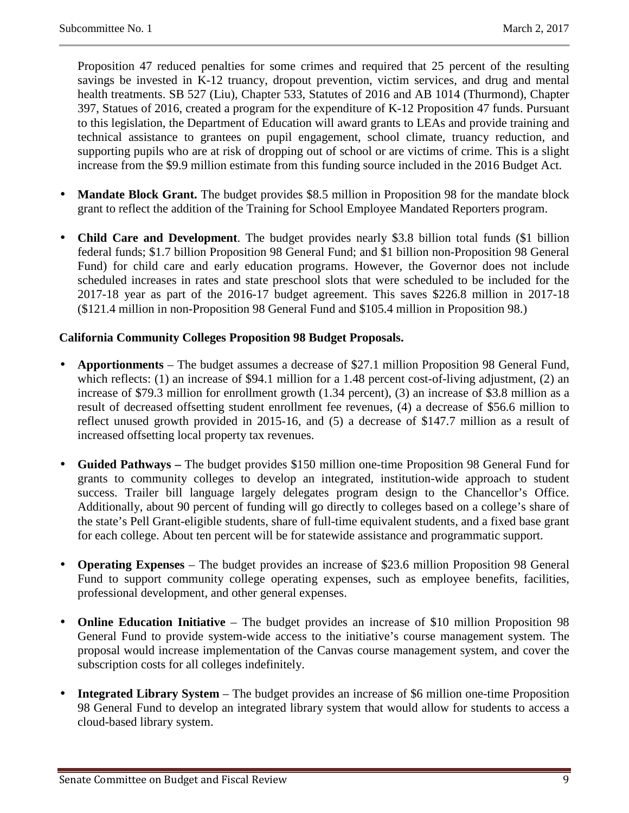Proposition 47 reduced penalties for some crimes and required that 25 percent of the resulting savings be invested in K-12 truancy, dropout prevention, victim services, and drug and mental health treatments. SB 527 (Liu), Chapter 533, Statutes of 2016 and AB 1014 (Thurmond), Chapter 397, Statues of 2016, created a program for the expenditure of K-12 Proposition 47 funds. Pursuant to this legislation, the Department of Education will award grants to LEAs and provide training and technical assistance to grantees on pupil engagement, school climate, truancy reduction, and supporting pupils who are at risk of dropping out of school or are victims of crime. This is a slight increase from the \$9.9 million estimate from this funding source included in the 2016 Budget Act.

- **Mandate Block Grant.** The budget provides \$8.5 million in Proposition 98 for the mandate block grant to reflect the addition of the Training for School Employee Mandated Reporters program.
- **Child Care and Development**. The budget provides nearly \$3.8 billion total funds (\$1 billion federal funds; \$1.7 billion Proposition 98 General Fund; and \$1 billion non-Proposition 98 General Fund) for child care and early education programs. However, the Governor does not include scheduled increases in rates and state preschool slots that were scheduled to be included for the 2017-18 year as part of the 2016-17 budget agreement. This saves \$226.8 million in 2017-18 (\$121.4 million in non-Proposition 98 General Fund and \$105.4 million in Proposition 98.)

#### **California Community Colleges Proposition 98 Budget Proposals.**

- **Apportionments**  The budget assumes a decrease of \$27.1 million Proposition 98 General Fund, which reflects: (1) an increase of \$94.1 million for a 1.48 percent cost-of-living adjustment, (2) an increase of \$79.3 million for enrollment growth (1.34 percent), (3) an increase of \$3.8 million as a result of decreased offsetting student enrollment fee revenues, (4) a decrease of \$56.6 million to reflect unused growth provided in 2015-16, and (5) a decrease of \$147.7 million as a result of increased offsetting local property tax revenues.
- **Guided Pathways –** The budget provides \$150 million one-time Proposition 98 General Fund for grants to community colleges to develop an integrated, institution-wide approach to student success. Trailer bill language largely delegates program design to the Chancellor's Office. Additionally, about 90 percent of funding will go directly to colleges based on a college's share of the state's Pell Grant-eligible students, share of full-time equivalent students, and a fixed base grant for each college. About ten percent will be for statewide assistance and programmatic support.
- **Operating Expenses**  The budget provides an increase of \$23.6 million Proposition 98 General Fund to support community college operating expenses, such as employee benefits, facilities, professional development, and other general expenses.
- **Online Education Initiative**  The budget provides an increase of \$10 million Proposition 98 General Fund to provide system-wide access to the initiative's course management system. The proposal would increase implementation of the Canvas course management system, and cover the subscription costs for all colleges indefinitely.
- **Integrated Library System**  The budget provides an increase of \$6 million one-time Proposition 98 General Fund to develop an integrated library system that would allow for students to access a cloud-based library system.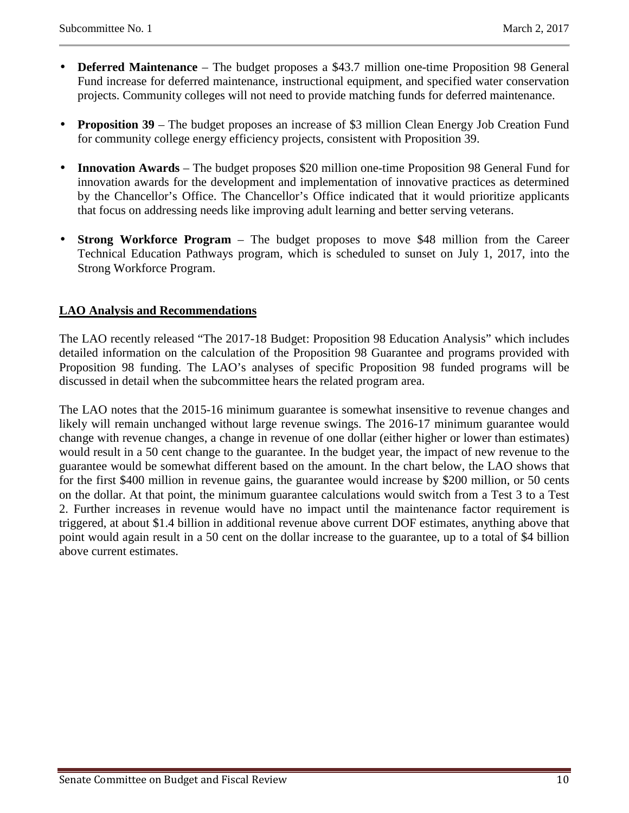- **Deferred Maintenance** The budget proposes a \$43.7 million one-time Proposition 98 General Fund increase for deferred maintenance, instructional equipment, and specified water conservation projects. Community colleges will not need to provide matching funds for deferred maintenance.
- **Proposition 39** The budget proposes an increase of \$3 million Clean Energy Job Creation Fund for community college energy efficiency projects, consistent with Proposition 39.
- **Innovation Awards** The budget proposes \$20 million one-time Proposition 98 General Fund for innovation awards for the development and implementation of innovative practices as determined by the Chancellor's Office. The Chancellor's Office indicated that it would prioritize applicants that focus on addressing needs like improving adult learning and better serving veterans.
- **Strong Workforce Program** The budget proposes to move \$48 million from the Career Technical Education Pathways program, which is scheduled to sunset on July 1, 2017, into the Strong Workforce Program.

#### **LAO Analysis and Recommendations**

The LAO recently released "The 2017-18 Budget: Proposition 98 Education Analysis" which includes detailed information on the calculation of the Proposition 98 Guarantee and programs provided with Proposition 98 funding. The LAO's analyses of specific Proposition 98 funded programs will be discussed in detail when the subcommittee hears the related program area.

The LAO notes that the 2015-16 minimum guarantee is somewhat insensitive to revenue changes and likely will remain unchanged without large revenue swings. The 2016-17 minimum guarantee would change with revenue changes, a change in revenue of one dollar (either higher or lower than estimates) would result in a 50 cent change to the guarantee. In the budget year, the impact of new revenue to the guarantee would be somewhat different based on the amount. In the chart below, the LAO shows that for the first \$400 million in revenue gains, the guarantee would increase by \$200 million, or 50 cents on the dollar. At that point, the minimum guarantee calculations would switch from a Test 3 to a Test 2. Further increases in revenue would have no impact until the maintenance factor requirement is triggered, at about \$1.4 billion in additional revenue above current DOF estimates, anything above that point would again result in a 50 cent on the dollar increase to the guarantee, up to a total of \$4 billion above current estimates.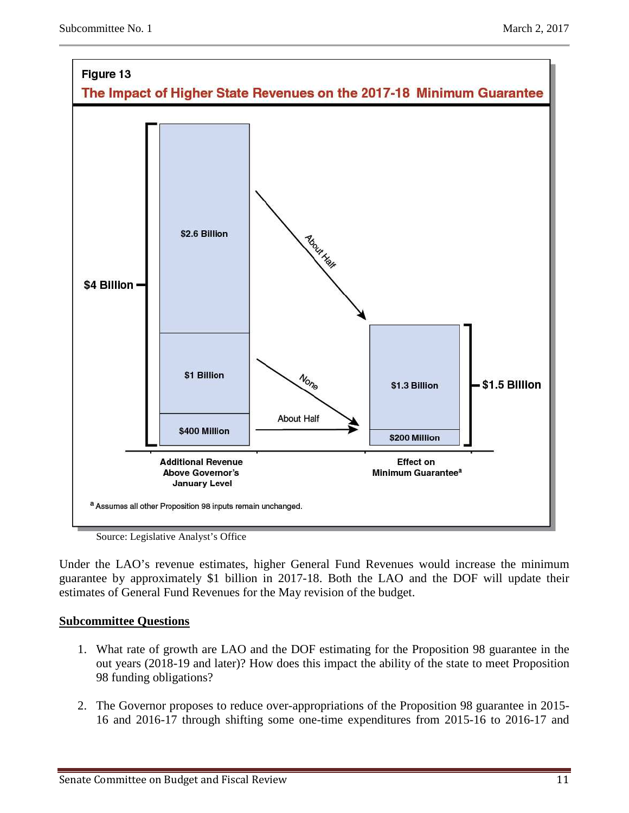



Source: Legislative Analyst's Office

Under the LAO's revenue estimates, higher General Fund Revenues would increase the minimum guarantee by approximately \$1 billion in 2017-18. Both the LAO and the DOF will update their estimates of General Fund Revenues for the May revision of the budget.

#### **Subcommittee Questions**

- 1. What rate of growth are LAO and the DOF estimating for the Proposition 98 guarantee in the out years (2018-19 and later)? How does this impact the ability of the state to meet Proposition 98 funding obligations?
- 2. The Governor proposes to reduce over-appropriations of the Proposition 98 guarantee in 2015- 16 and 2016-17 through shifting some one-time expenditures from 2015-16 to 2016-17 and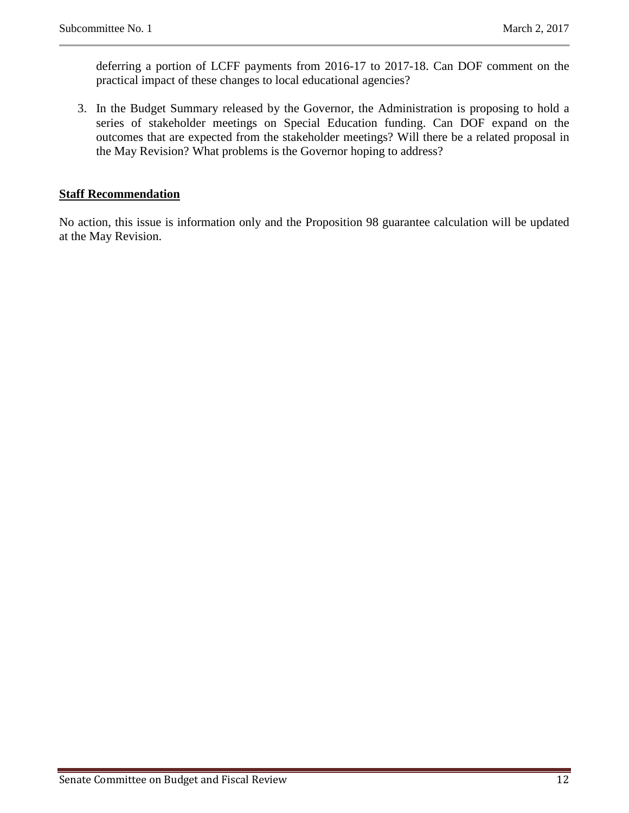deferring a portion of LCFF payments from 2016-17 to 2017-18. Can DOF comment on the practical impact of these changes to local educational agencies?

3. In the Budget Summary released by the Governor, the Administration is proposing to hold a series of stakeholder meetings on Special Education funding. Can DOF expand on the outcomes that are expected from the stakeholder meetings? Will there be a related proposal in the May Revision? What problems is the Governor hoping to address?

#### **Staff Recommendation**

No action, this issue is information only and the Proposition 98 guarantee calculation will be updated at the May Revision.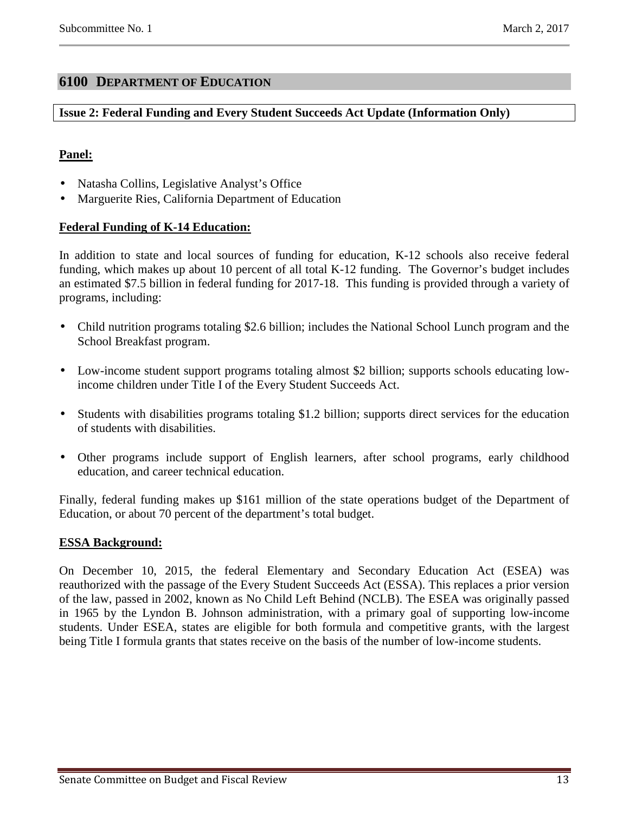## **6100 DEPARTMENT OF EDUCATION**

#### **Issue 2: Federal Funding and Every Student Succeeds Act Update (Information Only)**

## **Panel:**

- Natasha Collins, Legislative Analyst's Office
- Marguerite Ries, California Department of Education

#### **Federal Funding of K-14 Education:**

In addition to state and local sources of funding for education, K-12 schools also receive federal funding, which makes up about 10 percent of all total K-12 funding. The Governor's budget includes an estimated \$7.5 billion in federal funding for 2017-18. This funding is provided through a variety of programs, including:

- Child nutrition programs totaling \$2.6 billion; includes the National School Lunch program and the School Breakfast program.
- Low-income student support programs totaling almost \$2 billion; supports schools educating lowincome children under Title I of the Every Student Succeeds Act.
- Students with disabilities programs totaling \$1.2 billion; supports direct services for the education of students with disabilities.
- Other programs include support of English learners, after school programs, early childhood education, and career technical education.

Finally, federal funding makes up \$161 million of the state operations budget of the Department of Education, or about 70 percent of the department's total budget.

#### **ESSA Background:**

On December 10, 2015, the federal Elementary and Secondary Education Act (ESEA) was reauthorized with the passage of the Every Student Succeeds Act (ESSA). This replaces a prior version of the law, passed in 2002, known as No Child Left Behind (NCLB). The ESEA was originally passed in 1965 by the Lyndon B. Johnson administration, with a primary goal of supporting low-income students. Under ESEA, states are eligible for both formula and competitive grants, with the largest being Title I formula grants that states receive on the basis of the number of low-income students.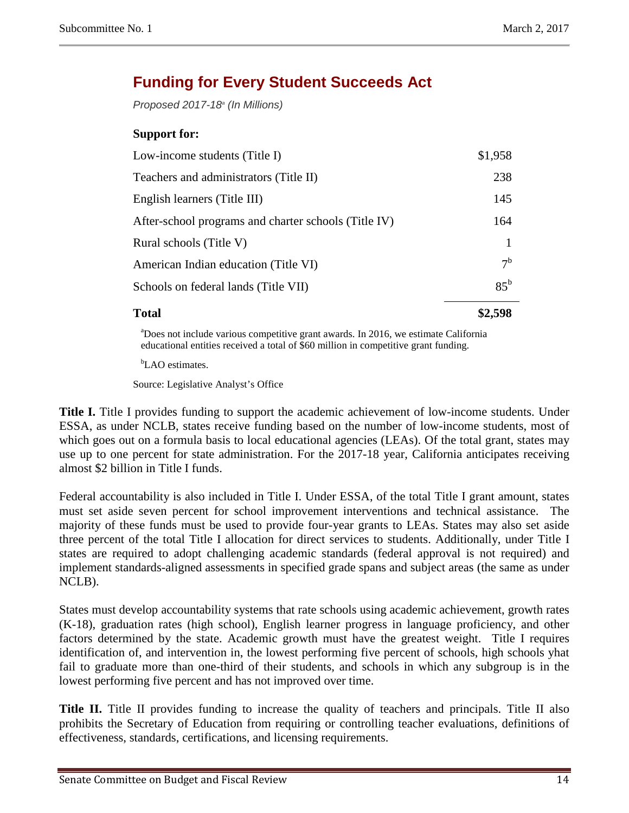# **Funding for Every Student Succeeds Act**

Proposed 2017-18 $\textdegree$  (In Millions)

## **Support for:**

| <b>Total</b>                                         |                |
|------------------------------------------------------|----------------|
| Schools on federal lands (Title VII)                 | $85^{\rm b}$   |
| American Indian education (Title VI)                 | 7 <sup>b</sup> |
| Rural schools (Title V)                              |                |
| After-school programs and charter schools (Title IV) | 164            |
| English learners (Title III)                         | 145            |
| Teachers and administrators (Title II)               | 238            |
| Low-income students (Title I)                        | \$1,958        |

<sup>a</sup>Does not include various competitive grant awards. In 2016, we estimate California educational entities received a total of \$60 million in competitive grant funding.

<sup>b</sup>LAO estimates.

Source: Legislative Analyst's Office

**Title I.** Title I provides funding to support the academic achievement of low-income students. Under ESSA, as under NCLB, states receive funding based on the number of low-income students, most of which goes out on a formula basis to local educational agencies (LEAs). Of the total grant, states may use up to one percent for state administration. For the 2017-18 year, California anticipates receiving almost \$2 billion in Title I funds.

Federal accountability is also included in Title I. Under ESSA, of the total Title I grant amount, states must set aside seven percent for school improvement interventions and technical assistance. The majority of these funds must be used to provide four-year grants to LEAs. States may also set aside three percent of the total Title I allocation for direct services to students. Additionally, under Title I states are required to adopt challenging academic standards (federal approval is not required) and implement standards-aligned assessments in specified grade spans and subject areas (the same as under NCLB).

States must develop accountability systems that rate schools using academic achievement, growth rates (K-18), graduation rates (high school), English learner progress in language proficiency, and other factors determined by the state. Academic growth must have the greatest weight. Title I requires identification of, and intervention in, the lowest performing five percent of schools, high schools yhat fail to graduate more than one-third of their students, and schools in which any subgroup is in the lowest performing five percent and has not improved over time.

**Title II.** Title II provides funding to increase the quality of teachers and principals. Title II also prohibits the Secretary of Education from requiring or controlling teacher evaluations, definitions of effectiveness, standards, certifications, and licensing requirements.